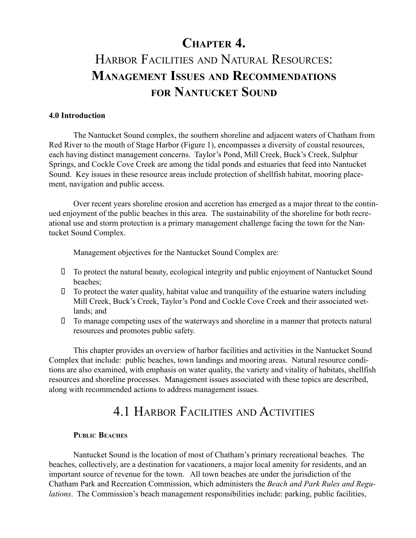# CHAPTER 4. HARBOR FACILITIES AND NATURAL RESOURCES: MANAGEMENT ISSUES AND RECOMMENDATIONS FOR NANTUCKET SOUND

#### 4.0 Introduction

The Nantucket Sound complex, the southern shoreline and adjacent waters of Chatham from Red River to the mouth of Stage Harbor (Figure 1), encompasses a diversity of coastal resources, each having distinct management concerns. Taylor's Pond, Mill Creek, Buck's Creek, Sulphur Springs, and Cockle Cove Creek are among the tidal ponds and estuaries that feed into Nantucket Sound. Key issues in these resource areas include protection of shellfish habitat, mooring placement, navigation and public access.

Over recent years shoreline erosion and accretion has emerged as a major threat to the continued enjoyment of the public beaches in this area. The sustainability of the shoreline for both recreational use and storm protection is a primary management challenge facing the town for the Nantucket Sound Complex.

Management objectives for the Nantucket Sound Complex are:

 To protect the natural beauty, ecological integrity and public enjoyment of Nantucket Sound beaches;

 To protect the water quality, habitat value and tranquility of the estuarine waters including Mill Creek, Buck's Creek, Taylor's Pond and Cockle Cove Creek and their associated wetlands; and

 To manage competing uses of the waterways and shoreline in a manner that protects natural resources and promotes public safety.

This chapter provides an overview of harbor facilities and activities in the Nantucket Sound Complex that include: public beaches, town landings and mooring areas. Natural resource conditions are also examined, with emphasis on water quality, the variety and vitality of habitats, shellfish resources and shoreline processes. Management issues associated with these topics are described, along with recommended actions to address management issues.

# 4.1 HARBOR FACILITIES AND ACTIVITIES

# PUBLIC BEACHES

Nantucket Sound is the location of most of Chatham's primary recreational beaches. The beaches, collectively, are a destination for vacationers, a major local amenity for residents, and an important source of revenue for the town. All town beaches are under the jurisdiction of the Chatham Park and Recreation Commission, which administers the Beach and Park Rules and Regulations. The Commission's beach management responsibilities include: parking, public facilities,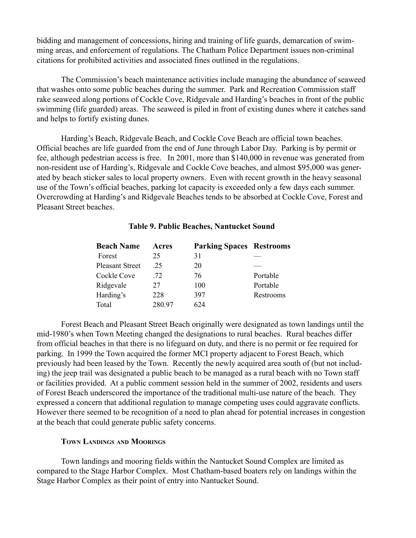bidding and management of concessions, hiring and training of life guards, demarcation of swimming areas, and enforcement of regulations. The Chatham Police Department issues non-criminal citations for prohibited activities and associated fines outlined in the regulations.

The Commission's beach maintenance activities include managing the abundance of seaweed that washes onto some public beaches during the summer. Park and Recreation Commission staff rake seaweed along portions of Cockle Cove, Ridgevale and Harding's beaches in front of the public swimming (life guarded) areas. The seaweed is piled in front of existing dunes where it catches sand and helps to fortify existing dunes.

Harding's Beach, Ridgevale Beach, and Cockle Cove Beach are official town beaches. Official beaches are life guarded from the end of June through Labor Day. Parking is by permit or fee, although pedestrian access is free. In 2001, more than \$140,000 in revenue was generated from non-resident use of Harding's, Ridgevale and Cockle Cove beaches, and almost \$95,000 was generated by beach sticker sales to local property owners. Even with recent growth in the heavy seasonal use of the Town's official beaches, parking lot capacity is exceeded only a few days each summer. Overcrowding at Harding's and Ridgevale Beaches tends to be absorbed at Cockle Cove, Forest and Pleasant Street beaches.

| <b>Beach Name</b>      | Acres  | <b>Parking Spaces Restrooms</b> |           |
|------------------------|--------|---------------------------------|-----------|
| Forest                 | 25     | 31                              |           |
| <b>Pleasant Street</b> | 25     | 20                              |           |
| Cockle Cove            | 72     | 76                              | Portable  |
| Ridgevale              | 27     | 100                             | Portable  |
| Harding's              | 228    | 397                             | Restrooms |
| Total                  | 280.97 | 624                             |           |

#### Table 9. Public Beaches, Nantucket Sound

Forest Beach and Pleasant Street Beach originally were designated as town landings until the mid-1980's when Town Meeting changed the designations to rural beaches. Rural beaches differ from official beaches in that there is no lifeguard on duty, and there is no permit or fee required for parking. In 1999 the Town acquired the former MCI property adjacent to Forest Beach, which previously had been leased by the Town. Recently the newly acquired area south of (but not including) the jeep trail was designated a public beach to be managed as a rural beach with no Town staff or facilities provided. At a public comment session held in the summer of 2002, residents and users of Forest Beach underscored the importance of the traditional multi-use nature of the beach. They expressed a concern that additional regulation to manage competing uses could aggravate conflicts. However there seemed to be recognition of a need to plan ahead for potential increases in congestion at the beach that could generate public safety concerns.

#### TOWN LANDINGS AND MOORINGS

Town landings and mooring fields within the Nantucket Sound Complex are limited as compared to the Stage Harbor Complex. Most Chatham-based boaters rely on landings within the Stage Harbor Complex as their point of entry into Nantucket Sound.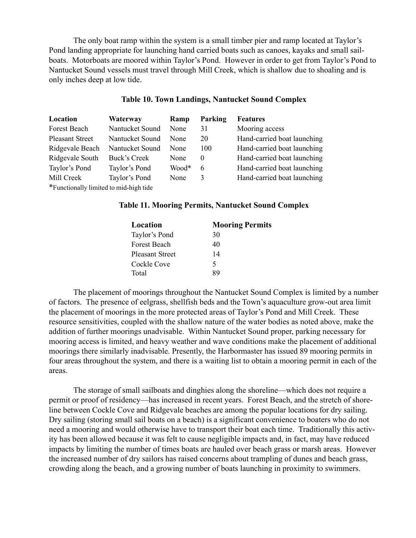The only boat ramp within the system is a small timber pier and ramp located at Taylor's Pond landing appropriate for launching hand carried boats such as canoes, kayaks and small sailboats. Motorboats are moored within Taylor's Pond. However in order to get from Taylor's Pond to Nantucket Sound vessels must travel through Mill Creek, which is shallow due to shoaling and is only inches deep at low tide.

#### Table 10. Town Landings, Nantucket Sound Complex

| Location                               | Waterway        | Ramp  | Parking  | <b>Features</b>             |
|----------------------------------------|-----------------|-------|----------|-----------------------------|
| Forest Beach                           | Nantucket Sound | None  | 31       | Mooring access              |
| <b>Pleasant Street</b>                 | Nantucket Sound | None  | 20       | Hand-carried boat launching |
| Ridgevale Beach                        | Nantucket Sound | None  | 100      | Hand-carried boat launching |
| Ridgevale South                        | Buck's Creek    | None  | $\theta$ | Hand-carried boat launching |
| Taylor's Pond                          | Taylor's Pond   | Wood* | 6        | Hand-carried boat launching |
| Mill Creek                             | Taylor's Pond   | None  | 3        | Hand-carried boat launching |
| *Functionally limited to mid-high tide |                 |       |          |                             |

#### Table 11. Mooring Permits, Nantucket Sound Complex

| Location               | <b>Mooring Permits</b> |
|------------------------|------------------------|
| Taylor's Pond          | 30                     |
| <b>Forest Beach</b>    | 40                     |
| <b>Pleasant Street</b> | 14                     |
| Cockle Cove            | 5                      |
| Total                  | χq                     |

The placement of moorings throughout the Nantucket Sound Complex is limited by a number of factors. The presence of eelgrass, shellfish beds and the Town's aquaculture grow-out area limit the placement of moorings in the more protected areas of Taylor's Pond and Mill Creek. These resource sensitivities, coupled with the shallow nature of the water bodies as noted above, make the addition of further moorings unadvisable. Within Nantucket Sound proper, parking necessary for mooring access is limited, and heavy weather and wave conditions make the placement of additional moorings there similarly inadvisable. Presently, the Harbormaster has issued 89 mooring permits in four areas throughout the system, and there is a waiting list to obtain a mooring permit in each of the areas.

The storage of small sailboats and dinghies along the shoreline—which does not require a permit or proof of residency—has increased in recent years. Forest Beach, and the stretch of shoreline between Cockle Cove and Ridgevale beaches are among the popular locations for dry sailing. Dry sailing (storing small sail boats on a beach) is a significant convenience to boaters who do not need a mooring and would otherwise have to transport their boat each time. Traditionally this activity has been allowed because it was felt to cause negligible impacts and, in fact, may have reduced impacts by limiting the number of times boats are hauled over beach grass or marsh areas. However the increased number of dry sailors has raised concerns about trampling of dunes and beach grass, crowding along the beach, and a growing number of boats launching in proximity to swimmers.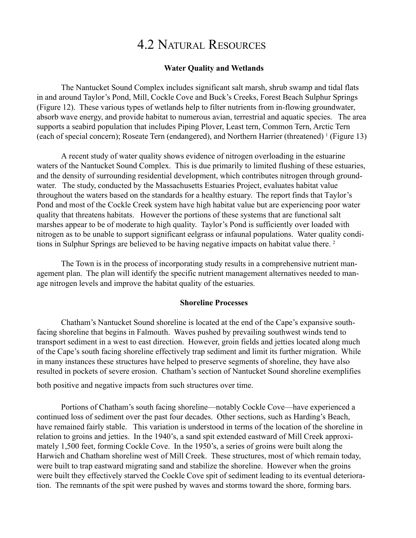# 4.2 NATURAL RESOURCES

#### Water Quality and Wetlands

The Nantucket Sound Complex includes significant salt marsh, shrub swamp and tidal flats in and around Taylor's Pond, Mill, Cockle Cove and Buck's Creeks, Forest Beach Sulphur Springs (Figure 12). These various types of wetlands help to filter nutrients from in-flowing groundwater, absorb wave energy, and provide habitat to numerous avian, terrestrial and aquatic species. The area supports a seabird population that includes Piping Plover, Least tern, Common Tern, Arctic Tern (each of special concern); Roseate Tern (endangered), and Northern Harrier (threatened) 1 (Figure 13)

A recent study of water quality shows evidence of nitrogen overloading in the estuarine waters of the Nantucket Sound Complex. This is due primarily to limited flushing of these estuaries, and the density of surrounding residential development, which contributes nitrogen through groundwater. The study, conducted by the Massachusetts Estuaries Project, evaluates habitat value throughout the waters based on the standards for a healthy estuary. The report finds that Taylor's Pond and most of the Cockle Creek system have high habitat value but are experiencing poor water quality that threatens habitats. However the portions of these systems that are functional salt marshes appear to be of moderate to high quality. Taylor's Pond is sufficiently over loaded with nitrogen as to be unable to support significant eelgrass or infaunal populations. Water quality conditions in Sulphur Springs are believed to be having negative impacts on habitat value there.<sup>2</sup>

The Town is in the process of incorporating study results in a comprehensive nutrient management plan. The plan will identify the specific nutrient management alternatives needed to manage nitrogen levels and improve the habitat quality of the estuaries.

#### Shoreline Processes

Chatham's Nantucket Sound shoreline is located at the end of the Cape's expansive southfacing shoreline that begins in Falmouth. Waves pushed by prevailing southwest winds tend to transport sediment in a west to east direction. However, groin fields and jetties located along much of the Cape's south facing shoreline effectively trap sediment and limit its further migration. While in many instances these structures have helped to preserve segments of shoreline, they have also resulted in pockets of severe erosion. Chatham's section of Nantucket Sound shoreline exemplifies

both positive and negative impacts from such structures over time.

Portions of Chatham's south facing shoreline—notably Cockle Cove—have experienced a continued loss of sediment over the past four decades. Other sections, such as Harding's Beach, have remained fairly stable. This variation is understood in terms of the location of the shoreline in relation to groins and jetties. In the 1940's, a sand spit extended eastward of Mill Creek approximately 1,500 feet, forming Cockle Cove. In the 1950's, a series of groins were built along the Harwich and Chatham shoreline west of Mill Creek. These structures, most of which remain today, were built to trap eastward migrating sand and stabilize the shoreline. However when the groins were built they effectively starved the Cockle Cove spit of sediment leading to its eventual deterioration. The remnants of the spit were pushed by waves and storms toward the shore, forming bars.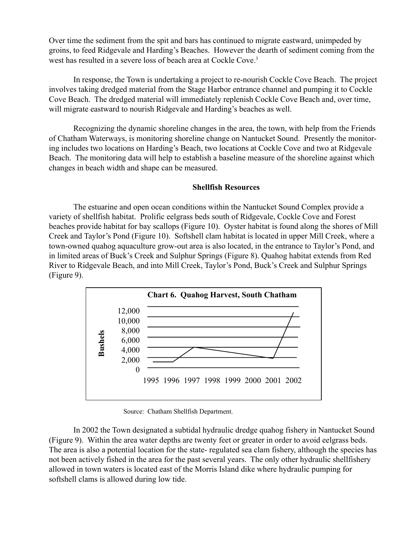Over time the sediment from the spit and bars has continued to migrate eastward, unimpeded by groins, to feed Ridgevale and Harding's Beaches. However the dearth of sediment coming from the west has resulted in a severe loss of beach area at Cockle Cove.<sup>3</sup>

In response, the Town is undertaking a project to re-nourish Cockle Cove Beach. The project involves taking dredged material from the Stage Harbor entrance channel and pumping it to Cockle Cove Beach. The dredged material will immediately replenish Cockle Cove Beach and, over time, will migrate eastward to nourish Ridgevale and Harding's beaches as well.

Recognizing the dynamic shoreline changes in the area, the town, with help from the Friends of Chatham Waterways, is monitoring shoreline change on Nantucket Sound. Presently the monitoring includes two locations on Harding's Beach, two locations at Cockle Cove and two at Ridgevale Beach. The monitoring data will help to establish a baseline measure of the shoreline against which changes in beach width and shape can be measured.

### Shellfish Resources

The estuarine and open ocean conditions within the Nantucket Sound Complex provide a variety of shellfish habitat. Prolific eelgrass beds south of Ridgevale, Cockle Cove and Forest beaches provide habitat for bay scallops (Figure 10). Oyster habitat is found along the shores of Mill Creek and Taylor's Pond (Figure 10). Softshell clam habitat is located in upper Mill Creek, where a town-owned quahog aquaculture grow-out area is also located, in the entrance to Taylor's Pond, and in limited areas of Buck's Creek and Sulphur Springs (Figure 8). Quahog habitat extends from Red River to Ridgevale Beach, and into Mill Creek, Taylor's Pond, Buck's Creek and Sulphur Springs (Figure 9).



Source: Chatham Shellfish Department.

In 2002 the Town designated a subtidal hydraulic dredge quahog fishery in Nantucket Sound (Figure 9). Within the area water depths are twenty feet or greater in order to avoid eelgrass beds. The area is also a potential location for the state- regulated sea clam fishery, although the species has not been actively fished in the area for the past several years. The only other hydraulic shellfishery allowed in town waters is located east of the Morris Island dike where hydraulic pumping for softshell clams is allowed during low tide.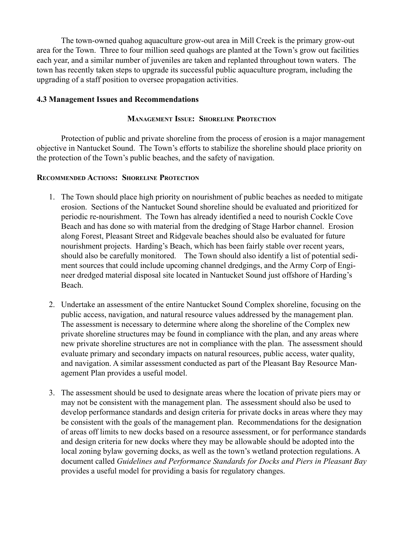The town-owned quahog aquaculture grow-out area in Mill Creek is the primary grow-out area for the Town. Three to four million seed quahogs are planted at the Town's grow out facilities each year, and a similar number of juveniles are taken and replanted throughout town waters. The town has recently taken steps to upgrade its successful public aquaculture program, including the upgrading of a staff position to oversee propagation activities.

### 4.3 Management Issues and Recommendations

### MANAGEMENT ISSUE: SHORELINE PROTECTION

Protection of public and private shoreline from the process of erosion is a major management objective in Nantucket Sound. The Town's efforts to stabilize the shoreline should place priority on the protection of the Town's public beaches, and the safety of navigation.

#### RECOMMENDED ACTIONS: SHORELINE PROTECTION

- 1. The Town should place high priority on nourishment of public beaches as needed to mitigate erosion. Sections of the Nantucket Sound shoreline should be evaluated and prioritized for periodic re-nourishment. The Town has already identified a need to nourish Cockle Cove Beach and has done so with material from the dredging of Stage Harbor channel. Erosion along Forest, Pleasant Street and Ridgevale beaches should also be evaluated for future nourishment projects. Harding's Beach, which has been fairly stable over recent years, should also be carefully monitored. The Town should also identify a list of potential sediment sources that could include upcoming channel dredgings, and the Army Corp of Engineer dredged material disposal site located in Nantucket Sound just offshore of Harding's Beach.
- 2. Undertake an assessment of the entire Nantucket Sound Complex shoreline, focusing on the public access, navigation, and natural resource values addressed by the management plan. The assessment is necessary to determine where along the shoreline of the Complex new private shoreline structures may be found in compliance with the plan, and any areas where new private shoreline structures are not in compliance with the plan. The assessment should evaluate primary and secondary impacts on natural resources, public access, water quality, and navigation. A similar assessment conducted as part of the Pleasant Bay Resource Management Plan provides a useful model.
- 3. The assessment should be used to designate areas where the location of private piers may or may not be consistent with the management plan. The assessment should also be used to develop performance standards and design criteria for private docks in areas where they may be consistent with the goals of the management plan. Recommendations for the designation of areas off limits to new docks based on a resource assessment, or for performance standards and design criteria for new docks where they may be allowable should be adopted into the local zoning bylaw governing docks, as well as the town's wetland protection regulations. A document called Guidelines and Performance Standards for Docks and Piers in Pleasant Bay provides a useful model for providing a basis for regulatory changes.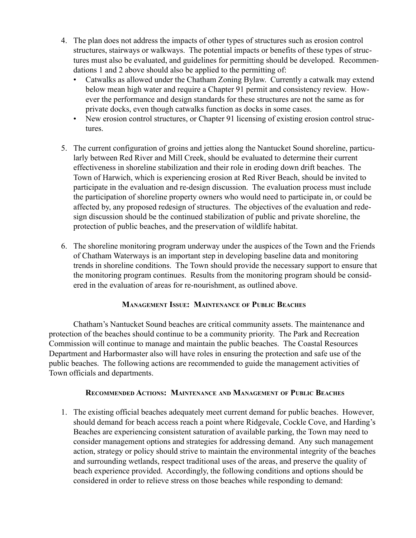- 4. The plan does not address the impacts of other types of structures such as erosion control structures, stairways or walkways. The potential impacts or benefits of these types of structures must also be evaluated, and guidelines for permitting should be developed. Recommendations 1 and 2 above should also be applied to the permitting of:
	- ï Catwalks as allowed under the Chatham Zoning Bylaw. Currently a catwalk may extend below mean high water and require a Chapter 91 permit and consistency review. However the performance and design standards for these structures are not the same as for private docks, even though catwalks function as docks in some cases.
	- New erosion control structures, or Chapter 91 licensing of existing erosion control structures.
- 5. The current configuration of groins and jetties along the Nantucket Sound shoreline, particularly between Red River and Mill Creek, should be evaluated to determine their current effectiveness in shoreline stabilization and their role in eroding down drift beaches. The Town of Harwich, which is experiencing erosion at Red River Beach, should be invited to participate in the evaluation and re-design discussion. The evaluation process must include the participation of shoreline property owners who would need to participate in, or could be affected by, any proposed redesign of structures. The objectives of the evaluation and redesign discussion should be the continued stabilization of public and private shoreline, the protection of public beaches, and the preservation of wildlife habitat.
- 6. The shoreline monitoring program underway under the auspices of the Town and the Friends of Chatham Waterways is an important step in developing baseline data and monitoring trends in shoreline conditions. The Town should provide the necessary support to ensure that the monitoring program continues. Results from the monitoring program should be considered in the evaluation of areas for re-nourishment, as outlined above.

# MANAGEMENT ISSUE: MAINTENANCE OF PUBLIC BEACHES

Chathamís Nantucket Sound beaches are critical community assets. The maintenance and protection of the beaches should continue to be a community priority. The Park and Recreation Commission will continue to manage and maintain the public beaches. The Coastal Resources Department and Harbormaster also will have roles in ensuring the protection and safe use of the public beaches. The following actions are recommended to guide the management activities of Town officials and departments.

# RECOMMENDED ACTIONS: MAINTENANCE AND MANAGEMENT OF PUBLIC BEACHES

1. The existing official beaches adequately meet current demand for public beaches. However, should demand for beach access reach a point where Ridgevale, Cockle Cove, and Harding's Beaches are experiencing consistent saturation of available parking, the Town may need to consider management options and strategies for addressing demand. Any such management action, strategy or policy should strive to maintain the environmental integrity of the beaches and surrounding wetlands, respect traditional uses of the areas, and preserve the quality of beach experience provided. Accordingly, the following conditions and options should be considered in order to relieve stress on those beaches while responding to demand: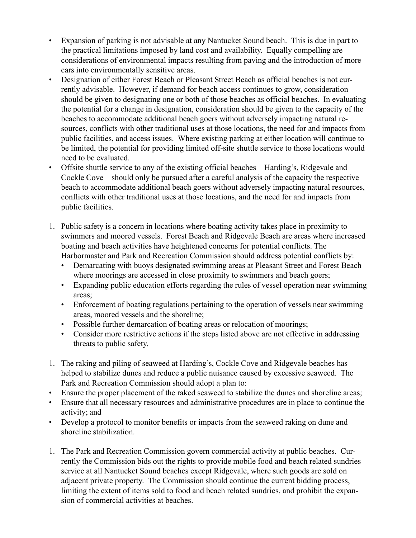- Expansion of parking is not advisable at any Nantucket Sound beach. This is due in part to the practical limitations imposed by land cost and availability. Equally compelling are considerations of environmental impacts resulting from paving and the introduction of more cars into environmentally sensitive areas.
- Designation of either Forest Beach or Pleasant Street Beach as official beaches is not currently advisable. However, if demand for beach access continues to grow, consideration should be given to designating one or both of those beaches as official beaches. In evaluating the potential for a change in designation, consideration should be given to the capacity of the beaches to accommodate additional beach goers without adversely impacting natural resources, conflicts with other traditional uses at those locations, the need for and impacts from public facilities, and access issues. Where existing parking at either location will continue to be limited, the potential for providing limited off-site shuttle service to those locations would need to be evaluated.
- Offsite shuttle service to any of the existing official beaches—Harding's, Ridgevale and Cockle Cove—should only be pursued after a careful analysis of the capacity the respective beach to accommodate additional beach goers without adversely impacting natural resources, conflicts with other traditional uses at those locations, and the need for and impacts from public facilities.
- 1. Public safety is a concern in locations where boating activity takes place in proximity to swimmers and moored vessels. Forest Beach and Ridgevale Beach are areas where increased boating and beach activities have heightened concerns for potential conflicts. The Harbormaster and Park and Recreation Commission should address potential conflicts by:
	- Demarcating with buoys designated swimming areas at Pleasant Street and Forest Beach where moorings are accessed in close proximity to swimmers and beach goers;
	- Expanding public education efforts regarding the rules of vessel operation near swimming areas;
	- Enforcement of boating regulations pertaining to the operation of vessels near swimming areas, moored vessels and the shoreline;
	- Possible further demarcation of boating areas or relocation of moorings;
	- Consider more restrictive actions if the steps listed above are not effective in addressing threats to public safety.
- 1. The raking and piling of seaweed at Harding's, Cockle Cove and Ridgevale beaches has helped to stabilize dunes and reduce a public nuisance caused by excessive seaweed. The Park and Recreation Commission should adopt a plan to:
- Ensure the proper placement of the raked seaweed to stabilize the dunes and shoreline areas;
- Ensure that all necessary resources and administrative procedures are in place to continue the activity; and
- Develop a protocol to monitor benefits or impacts from the seaweed raking on dune and shoreline stabilization.
- 1. The Park and Recreation Commission govern commercial activity at public beaches. Currently the Commission bids out the rights to provide mobile food and beach related sundries service at all Nantucket Sound beaches except Ridgevale, where such goods are sold on adjacent private property. The Commission should continue the current bidding process, limiting the extent of items sold to food and beach related sundries, and prohibit the expansion of commercial activities at beaches.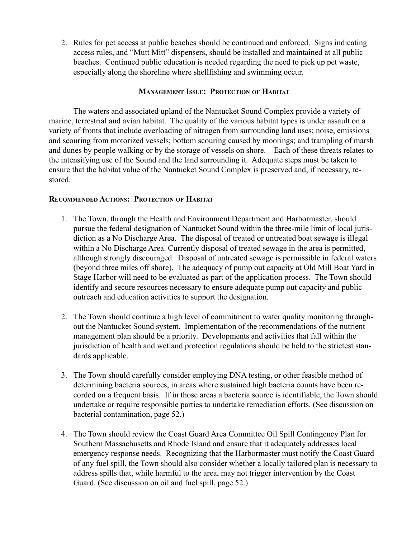2. Rules for pet access at public beaches should be continued and enforced. Signs indicating access rules, and "Mutt Mitt" dispensers, should be installed and maintained at all public beaches. Continued public education is needed regarding the need to pick up pet waste, especially along the shoreline where shellfishing and swimming occur.

### MANAGEMENT ISSUE: PROTECTION OF HABITAT

The waters and associated upland of the Nantucket Sound Complex provide a variety of marine, terrestrial and avian habitat. The quality of the various habitat types is under assault on a variety of fronts that include overloading of nitrogen from surrounding land uses; noise, emissions and scouring from motorized vessels; bottom scouring caused by moorings; and trampling of marsh and dunes by people walking or by the storage of vessels on shore. Each of these threats relates to the intensifying use of the Sound and the land surrounding it. Adequate steps must be taken to ensure that the habitat value of the Nantucket Sound Complex is preserved and, if necessary, restored.

#### RECOMMENDED ACTIONS: PROTECTION OF HABITAT

- 1. The Town, through the Health and Environment Department and Harbormaster, should pursue the federal designation of Nantucket Sound within the three-mile limit of local jurisdiction as a No Discharge Area. The disposal of treated or untreated boat sewage is illegal within a No Discharge Area. Currently disposal of treated sewage in the area is permitted, although strongly discouraged. Disposal of untreated sewage is permissible in federal waters (beyond three miles off shore). The adequacy of pump out capacity at Old Mill Boat Yard in Stage Harbor will need to be evaluated as part of the application process. The Town should identify and secure resources necessary to ensure adequate pump out capacity and public outreach and education activities to support the designation.
- 2. The Town should continue a high level of commitment to water quality monitoring throughout the Nantucket Sound system. Implementation of the recommendations of the nutrient management plan should be a priority. Developments and activities that fall within the jurisdiction of health and wetland protection regulations should be held to the strictest standards applicable.
- 3. The Town should carefully consider employing DNA testing, or other feasible method of determining bacteria sources, in areas where sustained high bacteria counts have been recorded on a frequent basis. If in those areas a bacteria source is identifiable, the Town should undertake or require responsible parties to undertake remediation efforts. (See discussion on bacterial contamination, page 52.)
- 4. The Town should review the Coast Guard Area Committee Oil Spill Contingency Plan for Southern Massachusetts and Rhode Island and ensure that it adequately addresses local emergency response needs. Recognizing that the Harbormaster must notify the Coast Guard of any fuel spill, the Town should also consider whether a locally tailored plan is necessary to address spills that, while harmful to the area, may not trigger intervention by the Coast Guard. (See discussion on oil and fuel spill, page 52.)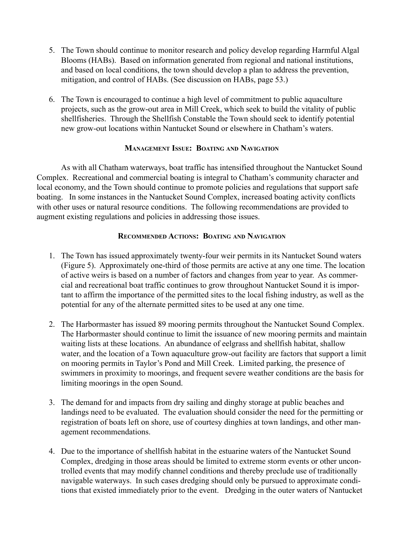- 5. The Town should continue to monitor research and policy develop regarding Harmful Algal Blooms (HABs). Based on information generated from regional and national institutions, and based on local conditions, the town should develop a plan to address the prevention, mitigation, and control of HABs. (See discussion on HABs, page 53.)
- 6. The Town is encouraged to continue a high level of commitment to public aquaculture projects, such as the grow-out area in Mill Creek, which seek to build the vitality of public shellfisheries. Through the Shellfish Constable the Town should seek to identify potential new grow-out locations within Nantucket Sound or elsewhere in Chatham's waters.

#### MANAGEMENT ISSUE: BOATING AND NAVIGATION

As with all Chatham waterways, boat traffic has intensified throughout the Nantucket Sound Complex. Recreational and commercial boating is integral to Chatham's community character and local economy, and the Town should continue to promote policies and regulations that support safe boating. In some instances in the Nantucket Sound Complex, increased boating activity conflicts with other uses or natural resource conditions. The following recommendations are provided to augment existing regulations and policies in addressing those issues.

# RECOMMENDED ACTIONS: BOATING AND NAVIGATION

- 1. The Town has issued approximately twenty-four weir permits in its Nantucket Sound waters (Figure 5). Approximately one-third of those permits are active at any one time. The location of active weirs is based on a number of factors and changes from year to year. As commercial and recreational boat traffic continues to grow throughout Nantucket Sound it is important to affirm the importance of the permitted sites to the local fishing industry, as well as the potential for any of the alternate permitted sites to be used at any one time.
- 2. The Harbormaster has issued 89 mooring permits throughout the Nantucket Sound Complex. The Harbormaster should continue to limit the issuance of new mooring permits and maintain waiting lists at these locations. An abundance of eelgrass and shellfish habitat, shallow water, and the location of a Town aquaculture grow-out facility are factors that support a limit on mooring permits in Taylor's Pond and Mill Creek. Limited parking, the presence of swimmers in proximity to moorings, and frequent severe weather conditions are the basis for limiting moorings in the open Sound.
- 3. The demand for and impacts from dry sailing and dinghy storage at public beaches and landings need to be evaluated. The evaluation should consider the need for the permitting or registration of boats left on shore, use of courtesy dinghies at town landings, and other management recommendations.
- 4. Due to the importance of shellfish habitat in the estuarine waters of the Nantucket Sound Complex, dredging in those areas should be limited to extreme storm events or other uncontrolled events that may modify channel conditions and thereby preclude use of traditionally navigable waterways. In such cases dredging should only be pursued to approximate conditions that existed immediately prior to the event. Dredging in the outer waters of Nantucket